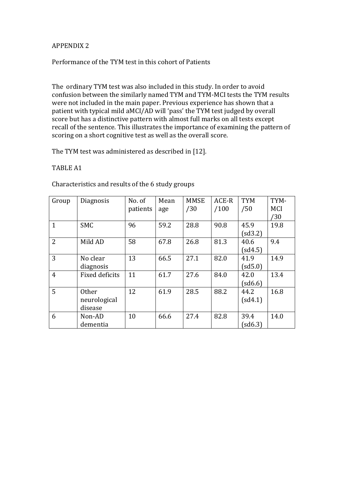## APPENDIX 2

# Performance of the TYM test in this cohort of Patients

The ordinary TYM test was also included in this study. In order to avoid confusion between the similarly named TYM and TYM-MCI tests the TYM results were not included in the main paper. Previous experience has shown that a patient with typical mild aMCI/AD will 'pass' the TYM test judged by overall score but has a distinctive pattern with almost full marks on all tests except recall of the sentence. This illustrates the importance of examining the pattern of scoring on a short cognitive test as well as the overall score.

The TYM test was administered as described in [12].

#### TABLE A1

Characteristics and results of the 6 study groups

| Group          | Diagnosis             | No. of   | Mean | <b>MMSE</b> | ACE-R | <b>TYM</b> | TYM-       |
|----------------|-----------------------|----------|------|-------------|-------|------------|------------|
|                |                       | patients | age  | /30         | /100  | /50        | <b>MCI</b> |
|                |                       |          |      |             |       |            | /30        |
| $\mathbf{1}$   | <b>SMC</b>            | 96       | 59.2 | 28.8        | 90.8  | 45.9       | 19.8       |
|                |                       |          |      |             |       | (sd3.2)    |            |
| $\overline{2}$ | Mild AD               | 58       | 67.8 | 26.8        | 81.3  | 40.6       | 9.4        |
|                |                       |          |      |             |       | (sd4.5)    |            |
| 3              | No clear              | 13       | 66.5 | 27.1        | 82.0  | 41.9       | 14.9       |
|                | diagnosis             |          |      |             |       | (sd5.0)    |            |
| $\overline{4}$ | <b>Fixed deficits</b> | 11       | 61.7 | 27.6        | 84.0  | 42.0       | 13.4       |
|                |                       |          |      |             |       | (sd6.6)    |            |
| 5              | <b>Other</b>          | 12       | 61.9 | 28.5        | 88.2  | 44.2       | 16.8       |
|                | neurological          |          |      |             |       | (sd4.1)    |            |
|                | disease               |          |      |             |       |            |            |
| 6              | Non-AD                | 10       | 66.6 | 27.4        | 82.8  | 39.4       | 14.0       |
|                | dementia              |          |      |             |       | (sd6.3)    |            |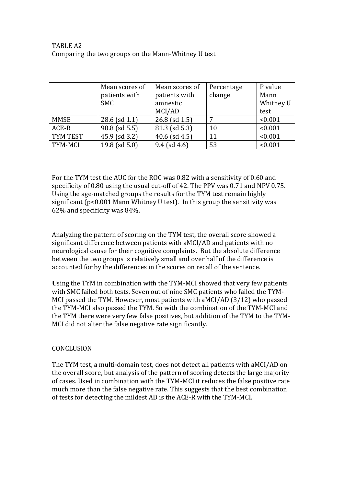# TABLE A2 Comparing the two groups on the Mann-Whitney U test

|          | Mean scores of     | Mean scores of     | Percentage | P value   |
|----------|--------------------|--------------------|------------|-----------|
|          | patients with      | patients with      | change     | Mann      |
|          | <b>SMC</b>         | amnestic           |            | Whitney U |
|          |                    | MCI/AD             |            | test      |
| MMSE     | $28.6$ (sd 1.1)    | $26.8$ (sd 1.5)    |            | < 0.001   |
| ACE-R    | $90.8$ (sd 5.5)    | 81.3 (sd 5.3)      | 10         | < 0.001   |
| TYM TEST | 45.9 (sd 3.2)      | $40.6$ (sd $4.5$ ) | 11         | < 0.001   |
| TYM-MCI  | $19.8$ (sd $5.0$ ) | $9.4$ (sd 4.6)     | 53         | < 0.001   |

For the TYM test the AUC for the ROC was 0.82 with a sensitivity of 0.60 and specificity of 0.80 using the usual cut-off of 42. The PPV was 0.71 and NPV 0.75. Using the age-matched groups the results for the TYM test remain highly significant (p<0.001 Mann Whitney U test). In this group the sensitivity was 62% and specificity was 84%.

Analyzing the pattern of scoring on the TYM test, the overall score showed a significant difference between patients with aMCI/AD and patients with no neurological cause for their cognitive complaints. But the absolute difference between the two groups is relatively small and over half of the difference is accounted for by the differences in the scores on recall of the sentence.

**U**sing the TYM in combination with the TYM-MCI showed that very few patients with SMC failed both tests. Seven out of nine SMC patients who failed the TYM-MCI passed the TYM. However, most patients with aMCI/AD (3/12) who passed the TYM-MCI also passed the TYM. So with the combination of the TYM-MCI and the TYM there were very few false positives, but addition of the TYM to the TYM-MCI did not alter the false negative rate significantly.

## **CONCLUSION**

The TYM test, a multi-domain test, does not detect all patients with aMCI/AD on the overall score, but analysis of the pattern of scoring detects the large majority of cases. Used in combination with the TYM-MCI it reduces the false positive rate much more than the false negative rate. This suggests that the best combination of tests for detecting the mildest AD is the ACE-R with the TYM-MCI.